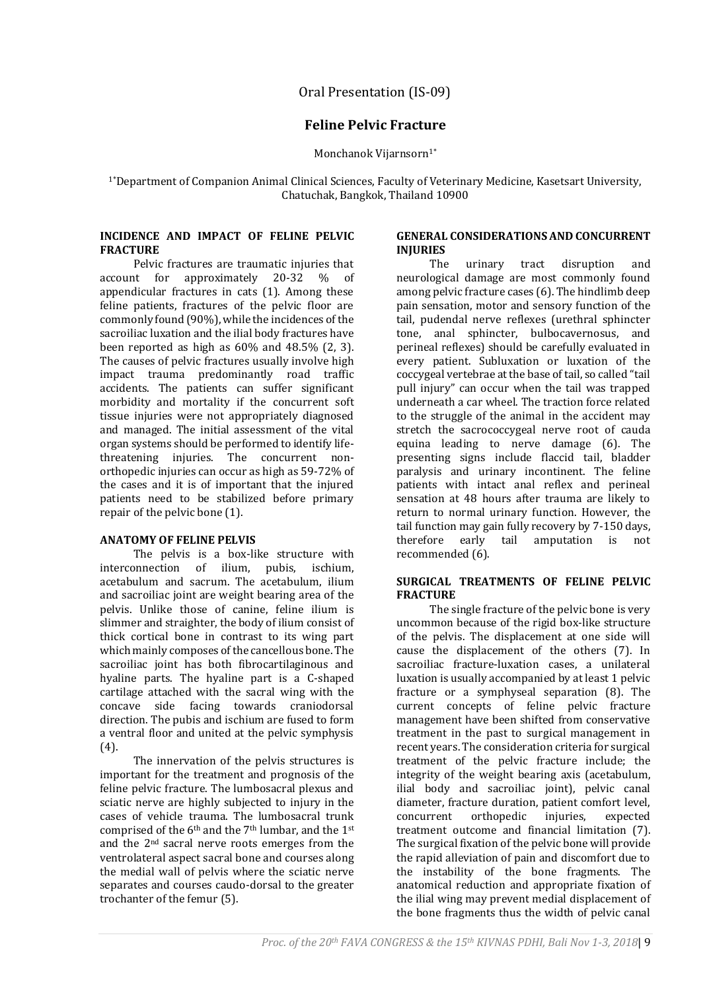# Oral Presentation (IS-09)

# **Feline Pelvic Fracture**

Monchanok Vijarnsorn<sup>1\*</sup>

1\*Department of Companion Animal Clinical Sciences, Faculty of Veterinary Medicine, Kasetsart University, Chatuchak, Bangkok, Thailand 10900

### **INCIDENCE AND IMPACT OF FELINE PELVIC FRACTURE**

Pelvic fractures are traumatic injuries that account for approximately 20-32 % of appendicular fractures in cats (1). Among these feline patients, fractures of the pelvic floor are commonly found (90%), while the incidences of the sacroiliac luxation and the ilial body fractures have been reported as high as 60% and 48.5% (2, 3). The causes of pelvic fractures usually involve high impact trauma predominantly road traffic accidents. The patients can suffer significant morbidity and mortality if the concurrent soft tissue injuries were not appropriately diagnosed and managed. The initial assessment of the vital organ systems should be performed to identify lifethreatening injuries. The concurrent nonorthopedic injuries can occur as high as 59-72% of the cases and it is of important that the injured patients need to be stabilized before primary repair of the pelvic bone (1).

### **ANATOMY OF FELINE PELVIS**

The pelvis is a box-like structure with interconnection of ilium, pubis, ischium, acetabulum and sacrum. The acetabulum, ilium and sacroiliac joint are weight bearing area of the pelvis. Unlike those of canine, feline ilium is slimmer and straighter, the body of ilium consist of thick cortical bone in contrast to its wing part which mainly composes of the cancellous bone. The sacroiliac joint has both fibrocartilaginous and hyaline parts. The hyaline part is a C-shaped cartilage attached with the sacral wing with the concave side facing towards craniodorsal direction. The pubis and ischium are fused to form a ventral floor and united at the pelvic symphysis (4).

The innervation of the pelvis structures is important for the treatment and prognosis of the feline pelvic fracture. The lumbosacral plexus and sciatic nerve are highly subjected to injury in the cases of vehicle trauma. The lumbosacral trunk comprised of the 6<sup>th</sup> and the 7<sup>th</sup> lumbar, and the 1<sup>st</sup> and the 2nd sacral nerve roots emerges from the ventrolateral aspect sacral bone and courses along the medial wall of pelvis where the sciatic nerve separates and courses caudo-dorsal to the greater trochanter of the femur (5).

## **GENERAL CONSIDERATIONS AND CONCURRENT INJURIES**

The urinary tract disruption and neurological damage are most commonly found among pelvic fracture cases (6). The hindlimb deep pain sensation, motor and sensory function of the tail, pudendal nerve reflexes (urethral sphincter tone, anal sphincter, bulbocavernosus, and perineal reflexes) should be carefully evaluated in every patient. Subluxation or luxation of the coccygeal vertebrae at the base of tail, so called "tail pull injury" can occur when the tail was trapped underneath a car wheel. The traction force related to the struggle of the animal in the accident may stretch the sacrococcygeal nerve root of cauda equina leading to nerve damage (6). The presenting signs include flaccid tail, bladder paralysis and urinary incontinent. The feline patients with intact anal reflex and perineal sensation at 48 hours after trauma are likely to return to normal urinary function. However, the tail function may gain fully recovery by 7-150 days, therefore early tail amputation is not recommended (6).

#### **SURGICAL TREATMENTS OF FELINE PELVIC FRACTURE**

The single fracture of the pelvic bone is very uncommon because of the rigid box-like structure of the pelvis. The displacement at one side will cause the displacement of the others (7). In sacroiliac fracture-luxation cases, a unilateral luxation is usually accompanied by at least 1 pelvic fracture or a symphyseal separation (8). The current concepts of feline pelvic fracture management have been shifted from conservative treatment in the past to surgical management in recent years. The consideration criteria for surgical treatment of the pelvic fracture include; the integrity of the weight bearing axis (acetabulum, ilial body and sacroiliac joint), pelvic canal diameter, fracture duration, patient comfort level, concurrent orthopedic injuries, expected treatment outcome and financial limitation (7). The surgical fixation of the pelvic bone will provide the rapid alleviation of pain and discomfort due to the instability of the bone fragments. The anatomical reduction and appropriate fixation of the ilial wing may prevent medial displacement of the bone fragments thus the width of pelvic canal